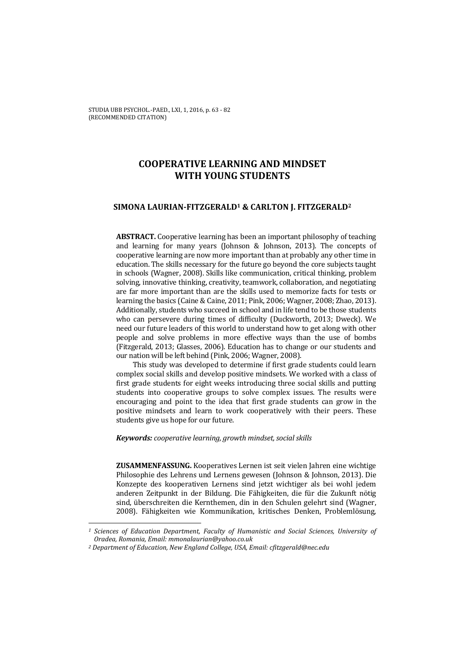STUDIA UBB PSYCHOL.-PAED., LXI, 1, 2016, p. 63 - 82 (RECOMMENDED CITATION)

# **COOPERATIVE LEARNING AND MINDSET WITH YOUNG STUDENTS**

### **SIMONA LAURIAN-FITZGERALD1 & CARLTON J. FITZGERALD2**

**ABSTRACT.** Cooperative learning has been an important philosophy of teaching and learning for many years (Johnson & Johnson, 2013). The concepts of cooperative learning are now more important than at probably any other time in education. The skills necessary for the future go beyond the core subjects taught in schools (Wagner, 2008). Skills like communication, critical thinking, problem solving, innovative thinking, creativity, teamwork, collaboration, and negotiating are far more important than are the skills used to memorize facts for tests or learning the basics (Caine & Caine, 2011; Pink, 2006; Wagner, 2008; Zhao, 2013). Additionally, students who succeed in school and in life tend to be those students who can persevere during times of difficulty (Duckworth, 2013; Dweck). We need our future leaders of this world to understand how to get along with other people and solve problems in more effective ways than the use of bombs (Fitzgerald, 2013; Glasses, 2006). Education has to change or our students and our nation will be left behind (Pink, 2006; Wagner, 2008).

This study was developed to determine if first grade students could learn complex social skills and develop positive mindsets. We worked with a class of first grade students for eight weeks introducing three social skills and putting students into cooperative groups to solve complex issues. The results were encouraging and point to the idea that first grade students can grow in the positive mindsets and learn to work cooperatively with their peers. These students give us hope for our future.

*Keywords: cooperative learning, growth mindset, social skills* 

**ZUSAMMENFASSUNG.** Kooperatives Lernen ist seit vielen Jahren eine wichtige Philosophie des Lehrens und Lernens gewesen (Johnson & Johnson, 2013). Die Konzepte des kooperativen Lernens sind jetzt wichtiger als bei wohl jedem anderen Zeitpunkt in der Bildung. Die Fähigkeiten, die für die Zukunft nötig sind, überschreiten die Kernthemen, din in den Schulen gelehrt sind (Wagner, 2008). Fähigkeiten wie Kommunikation, kritisches Denken, Problemlösung,

l

*<sup>1</sup> Sciences of Education Department, Faculty of Humanistic and Social Sciences, University of Oradea, Romania, Email: mmonalaurian@yahoo.co.uk* 

*<sup>2</sup> Department of Education, New England College, USA, Email: cfitzgerald@nec.edu*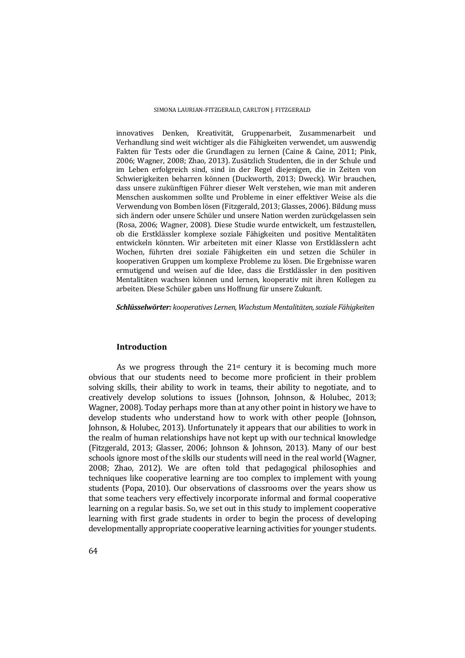innovatives Denken, Kreativität, Gruppenarbeit, Zusammenarbeit und Verhandlung sind weit wichtiger als die Fähigkeiten verwendet, um auswendig Fakten für Tests oder die Grundlagen zu lernen (Caine & Caine, 2011; Pink, 2006; Wagner, 2008; Zhao, 2013). Zusätzlich Studenten, die in der Schule und im Leben erfolgreich sind, sind in der Regel diejenigen, die in Zeiten von Schwierigkeiten beharren können (Duckworth, 2013; Dweck). Wir brauchen, dass unsere zukünftigen Führer dieser Welt verstehen, wie man mit anderen Menschen auskommen sollte und Probleme in einer effektiver Weise als die Verwendung von Bomben lösen (Fitzgerald, 2013; Glasses, 2006). Bildung muss sich ändern oder unsere Schüler und unsere Nation werden zurückgelassen sein (Rosa, 2006; Wagner, 2008). Diese Studie wurde entwickelt, um festzustellen, ob die Erstklässler komplexe soziale Fähigkeiten und positive Mentalitäten entwickeln könnten. Wir arbeiteten mit einer Klasse von Erstklässlern acht Wochen, führten drei soziale Fähigkeiten ein und setzen die Schüler in kooperativen Gruppen um komplexe Probleme zu lösen. Die Ergebnisse waren ermutigend und weisen auf die Idee, dass die Erstklässler in den positiven Mentalitäten wachsen können und lernen, kooperativ mit ihren Kollegen zu arbeiten. Diese Schüler gaben uns Hoffnung für unsere Zukunft.

*Schlüsselwörter: kooperatives Lernen, Wachstum Mentalitäten, soziale Fähigkeiten* 

# **Introduction**

As we progress through the  $21<sup>st</sup>$  century it is becoming much more obvious that our students need to become more proficient in their problem solving skills, their ability to work in teams, their ability to negotiate, and to creatively develop solutions to issues (Johnson, Johnson, & Holubec, 2013; Wagner, 2008). Today perhaps more than at any other point in history we have to develop students who understand how to work with other people (Johnson, Johnson, & Holubec, 2013). Unfortunately it appears that our abilities to work in the realm of human relationships have not kept up with our technical knowledge (Fitzgerald, 2013; Glasser, 2006; Johnson & Johnson, 2013). Many of our best schools ignore most of the skills our students will need in the real world (Wagner, 2008; Zhao, 2012). We are often told that pedagogical philosophies and techniques like cooperative learning are too complex to implement with young students (Popa, 2010). Our observations of classrooms over the years show us that some teachers very effectively incorporate informal and formal cooperative learning on a regular basis. So, we set out in this study to implement cooperative learning with first grade students in order to begin the process of developing developmentally appropriate cooperative learning activities for younger students.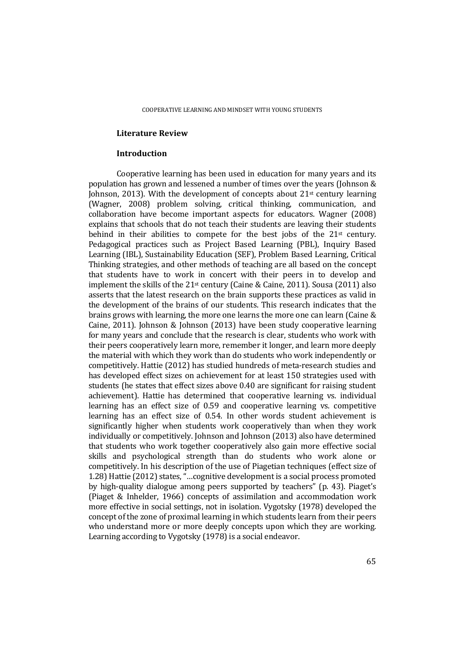### **Literature Review**

### **Introduction**

Cooperative learning has been used in education for many years and its population has grown and lessened a number of times over the years (Johnson & Johnson, 2013). With the development of concepts about 21st century learning (Wagner, 2008) problem solving, critical thinking, communication, and collaboration have become important aspects for educators. Wagner (2008) explains that schools that do not teach their students are leaving their students behind in their abilities to compete for the best jobs of the  $21st$  century. Pedagogical practices such as Project Based Learning (PBL), Inquiry Based Learning (IBL), Sustainability Education (SEF), Problem Based Learning, Critical Thinking strategies, and other methods of teaching are all based on the concept that students have to work in concert with their peers in to develop and implement the skills of the  $21<sup>st</sup>$  century (Caine & Caine, 2011). Sousa (2011) also asserts that the latest research on the brain supports these practices as valid in the development of the brains of our students. This research indicates that the brains grows with learning, the more one learns the more one can learn (Caine & Caine, 2011). Johnson & Johnson (2013) have been study cooperative learning for many years and conclude that the research is clear, students who work with their peers cooperatively learn more, remember it longer, and learn more deeply the material with which they work than do students who work independently or competitively. Hattie (2012) has studied hundreds of meta-research studies and has developed effect sizes on achievement for at least 150 strategies used with students (he states that effect sizes above 0.40 are significant for raising student achievement). Hattie has determined that cooperative learning vs. individual learning has an effect size of 0.59 and cooperative learning vs. competitive learning has an effect size of 0.54. In other words student achievement is significantly higher when students work cooperatively than when they work individually or competitively. Johnson and Johnson (2013) also have determined that students who work together cooperatively also gain more effective social skills and psychological strength than do students who work alone or competitively. In his description of the use of Piagetian techniques (effect size of 1.28) Hattie (2012) states, "…cognitive development is a social process promoted by high-quality dialogue among peers supported by teachers" (p. 43). Piaget's (Piaget & Inhelder, 1966) concepts of assimilation and accommodation work more effective in social settings, not in isolation. Vygotsky (1978) developed the concept of the zone of proximal learning in which students learn from their peers who understand more or more deeply concepts upon which they are working. Learning according to Vygotsky (1978) is a social endeavor.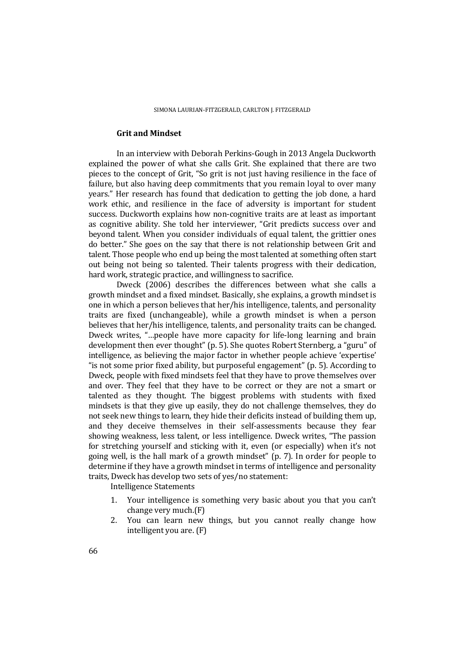# **Grit and Mindset**

In an interview with Deborah Perkins-Gough in 2013 Angela Duckworth explained the power of what she calls Grit. She explained that there are two pieces to the concept of Grit, "So grit is not just having resilience in the face of failure, but also having deep commitments that you remain loyal to over many years." Her research has found that dedication to getting the job done, a hard work ethic, and resilience in the face of adversity is important for student success. Duckworth explains how non-cognitive traits are at least as important as cognitive ability. She told her interviewer, "Grit predicts success over and beyond talent. When you consider individuals of equal talent, the grittier ones do better." She goes on the say that there is not relationship between Grit and talent. Those people who end up being the most talented at something often start out being not being so talented. Their talents progress with their dedication, hard work, strategic practice, and willingness to sacrifice.

Dweck (2006) describes the differences between what she calls a growth mindset and a fixed mindset. Basically, she explains, a growth mindset is one in which a person believes that her/his intelligence, talents, and personality traits are fixed (unchangeable), while a growth mindset is when a person believes that her/his intelligence, talents, and personality traits can be changed. Dweck writes, "…people have more capacity for life-long learning and brain development then ever thought" (p. 5). She quotes Robert Sternberg, a "guru" of intelligence, as believing the major factor in whether people achieve 'expertise' "is not some prior fixed ability, but purposeful engagement" (p. 5). According to Dweck, people with fixed mindsets feel that they have to prove themselves over and over. They feel that they have to be correct or they are not a smart or talented as they thought. The biggest problems with students with fixed mindsets is that they give up easily, they do not challenge themselves, they do not seek new things to learn, they hide their deficits instead of building them up, and they deceive themselves in their self-assessments because they fear showing weakness, less talent, or less intelligence. Dweck writes, "The passion for stretching yourself and sticking with it, even (or especially) when it's not going well, is the hall mark of a growth mindset" (p. 7). In order for people to determine if they have a growth mindset in terms of intelligence and personality traits, Dweck has develop two sets of yes/no statement:

Intelligence Statements

- 1. Your intelligence is something very basic about you that you can't change very much.(F)
- 2. You can learn new things, but you cannot really change how intelligent you are. (F)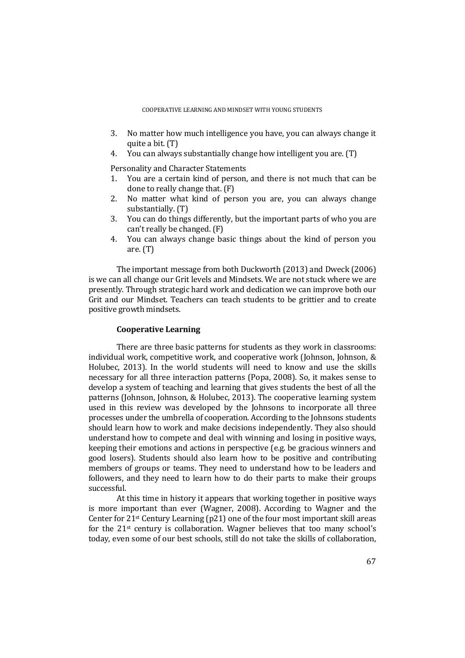- 3. No matter how much intelligence you have, you can always change it quite a bit. (T)
- 4. You can always substantially change how intelligent you are. (T)

Personality and Character Statements

- 1. You are a certain kind of person, and there is not much that can be done to really change that. (F)
- 2. No matter what kind of person you are, you can always change substantially. (T)
- 3. You can do things differently, but the important parts of who you are can't really be changed. (F)
- 4. You can always change basic things about the kind of person you are. (T)

The important message from both Duckworth (2013) and Dweck (2006) is we can all change our Grit levels and Mindsets. We are not stuck where we are presently. Through strategic hard work and dedication we can improve both our Grit and our Mindset. Teachers can teach students to be grittier and to create positive growth mindsets.

# **Cooperative Learning**

There are three basic patterns for students as they work in classrooms: individual work, competitive work, and cooperative work (Johnson, Johnson, & Holubec, 2013). In the world students will need to know and use the skills necessary for all three interaction patterns (Popa, 2008). So, it makes sense to develop a system of teaching and learning that gives students the best of all the patterns (Johnson, Johnson, & Holubec, 2013). The cooperative learning system used in this review was developed by the Johnsons to incorporate all three processes under the umbrella of cooperation. According to the Johnsons students should learn how to work and make decisions independently. They also should understand how to compete and deal with winning and losing in positive ways, keeping their emotions and actions in perspective (e.g. be gracious winners and good losers). Students should also learn how to be positive and contributing members of groups or teams. They need to understand how to be leaders and followers, and they need to learn how to do their parts to make their groups successful.

 At this time in history it appears that working together in positive ways is more important than ever (Wagner, 2008). According to Wagner and the Center for 21st Century Learning (p21) one of the four most important skill areas for the 21st century is collaboration. Wagner believes that too many school's today, even some of our best schools, still do not take the skills of collaboration,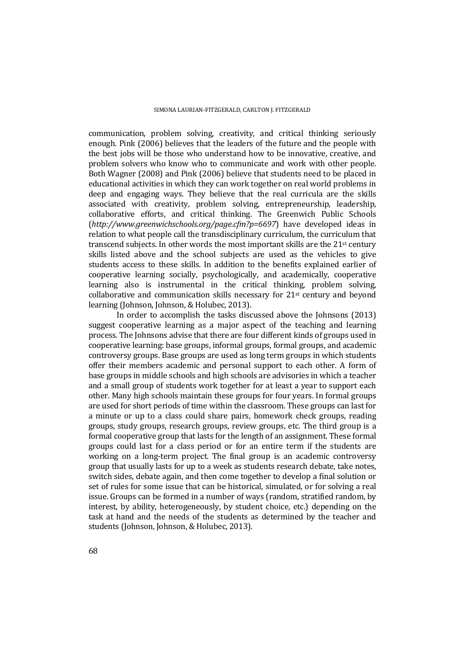communication, problem solving, creativity, and critical thinking seriously enough. Pink (2006) believes that the leaders of the future and the people with the best jobs will be those who understand how to be innovative, creative, and problem solvers who know who to communicate and work with other people. Both Wagner (2008) and Pink (2006) believe that students need to be placed in educational activities in which they can work together on real world problems in deep and engaging ways. They believe that the real curricula are the skills associated with creativity, problem solving, entrepreneurship, leadership, collaborative efforts, and critical thinking. The Greenwich Public Schools (*http://www.greenwichschools.org/page.cfm?p=6697*) have developed ideas in relation to what people call the transdisciplinary curriculum, the curriculum that transcend subjects. In other words the most important skills are the 21st century skills listed above and the school subjects are used as the vehicles to give students access to these skills. In addition to the benefits explained earlier of cooperative learning socially, psychologically, and academically, cooperative learning also is instrumental in the critical thinking, problem solving, collaborative and communication skills necessary for 21st century and beyond learning (Johnson, Johnson, & Holubec, 2013).

 In order to accomplish the tasks discussed above the Johnsons (2013) suggest cooperative learning as a major aspect of the teaching and learning process. The Johnsons advise that there are four different kinds of groups used in cooperative learning: base groups, informal groups, formal groups, and academic controversy groups. Base groups are used as long term groups in which students offer their members academic and personal support to each other. A form of base groups in middle schools and high schools are advisories in which a teacher and a small group of students work together for at least a year to support each other. Many high schools maintain these groups for four years. In formal groups are used for short periods of time within the classroom. These groups can last for a minute or up to a class could share pairs, homework check groups, reading groups, study groups, research groups, review groups, etc. The third group is a formal cooperative group that lasts for the length of an assignment. These formal groups could last for a class period or for an entire term if the students are working on a long-term project. The final group is an academic controversy group that usually lasts for up to a week as students research debate, take notes, switch sides, debate again, and then come together to develop a final solution or set of rules for some issue that can be historical, simulated, or for solving a real issue. Groups can be formed in a number of ways (random, stratified random, by interest, by ability, heterogeneously, by student choice, etc.) depending on the task at hand and the needs of the students as determined by the teacher and students (Johnson, Johnson, & Holubec, 2013).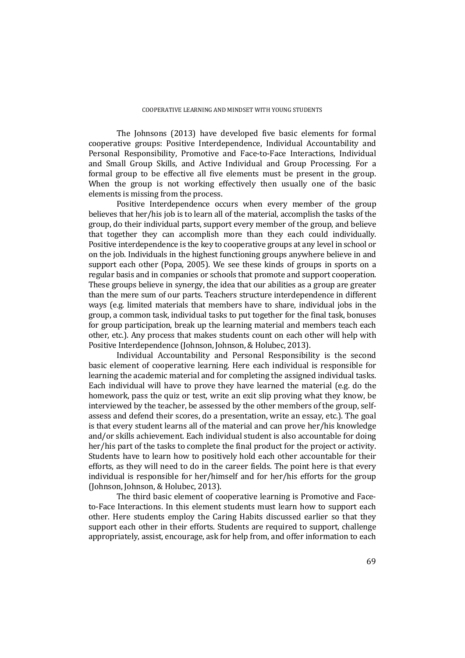The Johnsons (2013) have developed five basic elements for formal cooperative groups: Positive Interdependence, Individual Accountability and Personal Responsibility, Promotive and Face-to-Face Interactions, Individual and Small Group Skills, and Active Individual and Group Processing. For a formal group to be effective all five elements must be present in the group. When the group is not working effectively then usually one of the basic elements is missing from the process.

 Positive Interdependence occurs when every member of the group believes that her/his job is to learn all of the material, accomplish the tasks of the group, do their individual parts, support every member of the group, and believe that together they can accomplish more than they each could individually. Positive interdependence is the key to cooperative groups at any level in school or on the job. Individuals in the highest functioning groups anywhere believe in and support each other (Popa, 2005). We see these kinds of groups in sports on a regular basis and in companies or schools that promote and support cooperation. These groups believe in synergy, the idea that our abilities as a group are greater than the mere sum of our parts. Teachers structure interdependence in different ways (e.g. limited materials that members have to share, individual jobs in the group, a common task, individual tasks to put together for the final task, bonuses for group participation, break up the learning material and members teach each other, etc.). Any process that makes students count on each other will help with Positive Interdependence (Johnson, Johnson, & Holubec, 2013).

 Individual Accountability and Personal Responsibility is the second basic element of cooperative learning. Here each individual is responsible for learning the academic material and for completing the assigned individual tasks. Each individual will have to prove they have learned the material (e.g. do the homework, pass the quiz or test, write an exit slip proving what they know, be interviewed by the teacher, be assessed by the other members of the group, selfassess and defend their scores, do a presentation, write an essay, etc.). The goal is that every student learns all of the material and can prove her/his knowledge and/or skills achievement. Each individual student is also accountable for doing her/his part of the tasks to complete the final product for the project or activity. Students have to learn how to positively hold each other accountable for their efforts, as they will need to do in the career fields. The point here is that every individual is responsible for her/himself and for her/his efforts for the group (Johnson, Johnson, & Holubec, 2013).

 The third basic element of cooperative learning is Promotive and Faceto-Face Interactions. In this element students must learn how to support each other. Here students employ the Caring Habits discussed earlier so that they support each other in their efforts. Students are required to support, challenge appropriately, assist, encourage, ask for help from, and offer information to each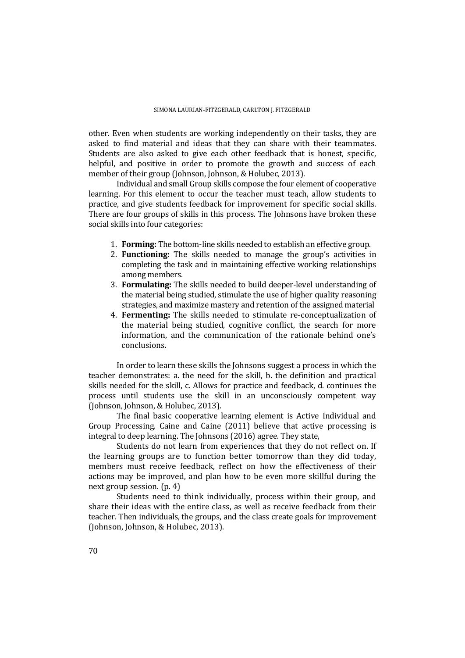other. Even when students are working independently on their tasks, they are asked to find material and ideas that they can share with their teammates. Students are also asked to give each other feedback that is honest, specific, helpful, and positive in order to promote the growth and success of each member of their group (Johnson, Johnson, & Holubec, 2013).

 Individual and small Group skills compose the four element of cooperative learning. For this element to occur the teacher must teach, allow students to practice, and give students feedback for improvement for specific social skills. There are four groups of skills in this process. The Johnsons have broken these social skills into four categories:

- 1. **Forming:** The bottom-line skills needed to establish an effective group.
- 2. **Functioning:** The skills needed to manage the group's activities in completing the task and in maintaining effective working relationships among members.
- 3. **Formulating:** The skills needed to build deeper-level understanding of the material being studied, stimulate the use of higher quality reasoning strategies, and maximize mastery and retention of the assigned material
- 4. **Fermenting:** The skills needed to stimulate re-conceptualization of the material being studied, cognitive conflict, the search for more information, and the communication of the rationale behind one's conclusions.

In order to learn these skills the Johnsons suggest a process in which the teacher demonstrates: a. the need for the skill, b. the definition and practical skills needed for the skill, c. Allows for practice and feedback, d. continues the process until students use the skill in an unconsciously competent way (Johnson, Johnson, & Holubec, 2013).

 The final basic cooperative learning element is Active Individual and Group Processing. Caine and Caine (2011) believe that active processing is integral to deep learning. The Johnsons (2016) agree. They state,

 Students do not learn from experiences that they do not reflect on. If the learning groups are to function better tomorrow than they did today, members must receive feedback, reflect on how the effectiveness of their actions may be improved, and plan how to be even more skillful during the next group session. (p. 4)

 Students need to think individually, process within their group, and share their ideas with the entire class, as well as receive feedback from their teacher. Then individuals, the groups, and the class create goals for improvement (Johnson, Johnson, & Holubec, 2013).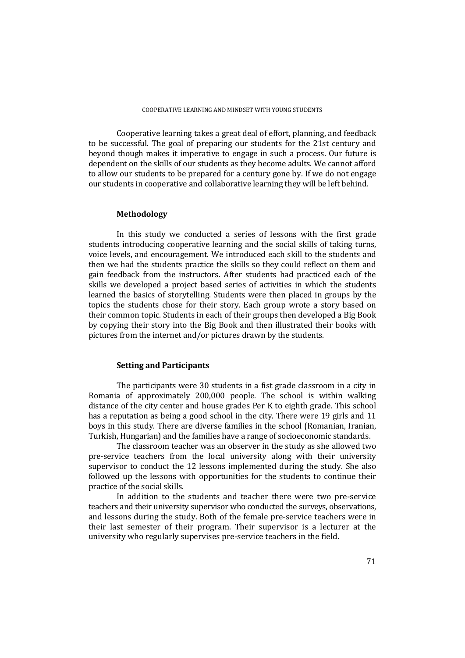Cooperative learning takes a great deal of effort, planning, and feedback to be successful. The goal of preparing our students for the 21st century and beyond though makes it imperative to engage in such a process. Our future is dependent on the skills of our students as they become adults. We cannot afford to allow our students to be prepared for a century gone by. If we do not engage our students in cooperative and collaborative learning they will be left behind.

# **Methodology**

 In this study we conducted a series of lessons with the first grade students introducing cooperative learning and the social skills of taking turns, voice levels, and encouragement. We introduced each skill to the students and then we had the students practice the skills so they could reflect on them and gain feedback from the instructors. After students had practiced each of the skills we developed a project based series of activities in which the students learned the basics of storytelling. Students were then placed in groups by the topics the students chose for their story. Each group wrote a story based on their common topic. Students in each of their groups then developed a Big Book by copying their story into the Big Book and then illustrated their books with pictures from the internet and/or pictures drawn by the students.

# **Setting and Participants**

 The participants were 30 students in a fist grade classroom in a city in Romania of approximately 200,000 people. The school is within walking distance of the city center and house grades Per K to eighth grade. This school has a reputation as being a good school in the city. There were 19 girls and 11 boys in this study. There are diverse families in the school (Romanian, Iranian, Turkish, Hungarian) and the families have a range of socioeconomic standards.

 The classroom teacher was an observer in the study as she allowed two pre-service teachers from the local university along with their university supervisor to conduct the 12 lessons implemented during the study. She also followed up the lessons with opportunities for the students to continue their practice of the social skills.

 In addition to the students and teacher there were two pre-service teachers and their university supervisor who conducted the surveys, observations, and lessons during the study. Both of the female pre-service teachers were in their last semester of their program. Their supervisor is a lecturer at the university who regularly supervises pre-service teachers in the field.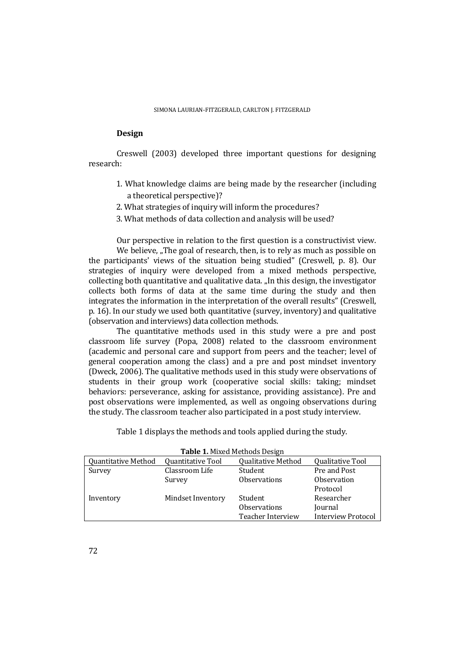# **Design**

 Creswell (2003) developed three important questions for designing research:

- 1. What knowledge claims are being made by the researcher (including a theoretical perspective)?
- 2. What strategies of inquiry will inform the procedures?
- 3. What methods of data collection and analysis will be used?

Our perspective in relation to the first question is a constructivist view.

We believe, "The goal of research, then, is to rely as much as possible on the participants' views of the situation being studied" (Creswell, p. 8). Our strategies of inquiry were developed from a mixed methods perspective, collecting both quantitative and qualitative data. "In this design, the investigator collects both forms of data at the same time during the study and then integrates the information in the interpretation of the overall results" (Creswell, p. 16). In our study we used both quantitative (survey, inventory) and qualitative (observation and interviews) data collection methods.

 The quantitative methods used in this study were a pre and post classroom life survey (Popa, 2008) related to the classroom environment (academic and personal care and support from peers and the teacher; level of general cooperation among the class) and a pre and post mindset inventory (Dweck, 2006). The qualitative methods used in this study were observations of students in their group work (cooperative social skills: taking; mindset behaviors: perseverance, asking for assistance, providing assistance). Pre and post observations were implemented, as well as ongoing observations during the study. The classroom teacher also participated in a post study interview.

Table 1 displays the methods and tools applied during the study.

| <b>Table 1. Mixed Methods Design</b> |                   |                           |                           |
|--------------------------------------|-------------------|---------------------------|---------------------------|
| <b>Quantitative Method</b>           | Quantitative Tool | <b>Qualitative Method</b> | Qualitative Tool          |
| Survey                               | Classroom Life    | Student                   | Pre and Post              |
|                                      | Survey            | <b>Observations</b>       | Observation               |
|                                      |                   |                           | Protocol                  |
| Inventory                            | Mindset Inventory | Student                   | Researcher                |
|                                      |                   | <b>Observations</b>       | Journal                   |
|                                      |                   | <b>Teacher Interview</b>  | <b>Interview Protocol</b> |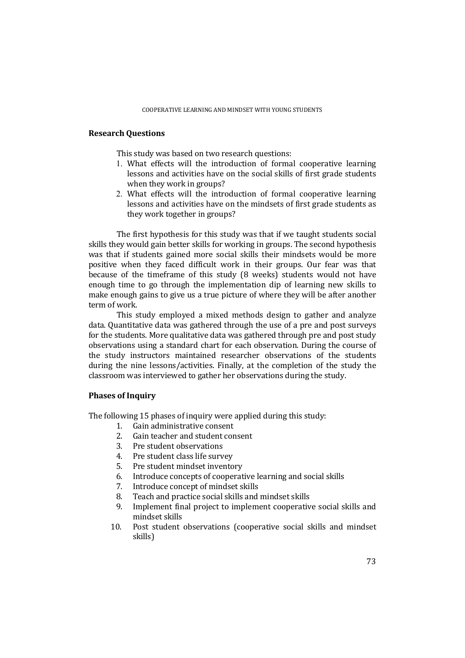# **Research Questions**

This study was based on two research questions:

- 1. What effects will the introduction of formal cooperative learning lessons and activities have on the social skills of first grade students when they work in groups?
- 2. What effects will the introduction of formal cooperative learning lessons and activities have on the mindsets of first grade students as they work together in groups?

 The first hypothesis for this study was that if we taught students social skills they would gain better skills for working in groups. The second hypothesis was that if students gained more social skills their mindsets would be more positive when they faced difficult work in their groups. Our fear was that because of the timeframe of this study (8 weeks) students would not have enough time to go through the implementation dip of learning new skills to make enough gains to give us a true picture of where they will be after another term of work.

 This study employed a mixed methods design to gather and analyze data. Quantitative data was gathered through the use of a pre and post surveys for the students. More qualitative data was gathered through pre and post study observations using a standard chart for each observation. During the course of the study instructors maintained researcher observations of the students during the nine lessons/activities. Finally, at the completion of the study the classroom was interviewed to gather her observations during the study.

# **Phases of Inquiry**

The following 15 phases of inquiry were applied during this study:

- 1. Gain administrative consent
- 2. Gain teacher and student consent
- 3. Pre student observations
- 4. Pre student class life survey
- 5. Pre student mindset inventory
- 6. Introduce concepts of cooperative learning and social skills
- 7. Introduce concept of mindset skills
- 8. Teach and practice social skills and mindset skills
- 9. Implement final project to implement cooperative social skills and mindset skills
- 10. Post student observations (cooperative social skills and mindset skills)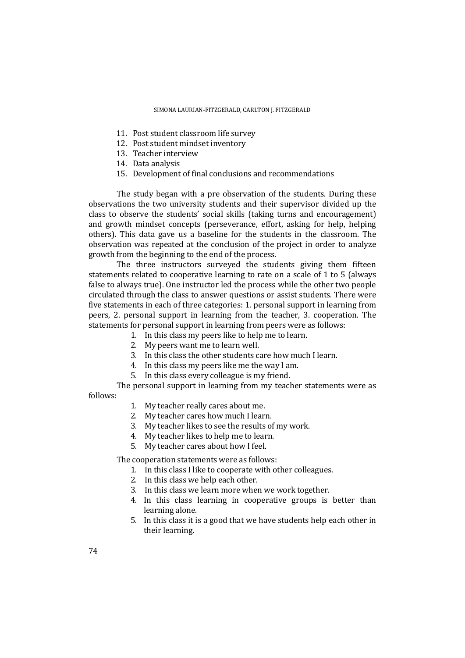- 11. Post student classroom life survey
- 12. Post student mindset inventory
- 13. Teacher interview
- 14. Data analysis
- 15. Development of final conclusions and recommendations

The study began with a pre observation of the students. During these observations the two university students and their supervisor divided up the class to observe the students' social skills (taking turns and encouragement) and growth mindset concepts (perseverance, effort, asking for help, helping others). This data gave us a baseline for the students in the classroom. The observation was repeated at the conclusion of the project in order to analyze growth from the beginning to the end of the process.

 The three instructors surveyed the students giving them fifteen statements related to cooperative learning to rate on a scale of 1 to 5 (always false to always true). One instructor led the process while the other two people circulated through the class to answer questions or assist students. There were five statements in each of three categories: 1. personal support in learning from peers, 2. personal support in learning from the teacher, 3. cooperation. The statements for personal support in learning from peers were as follows:

- 1. In this class my peers like to help me to learn.
- 2. My peers want me to learn well.
- 3. In this class the other students care how much I learn.
- 4. In this class my peers like me the way I am.
- 5. In this class every colleague is my friend.

 The personal support in learning from my teacher statements were as follows:

- 1. My teacher really cares about me.
- 2. My teacher cares how much I learn.
- 3. My teacher likes to see the results of my work.
- 4. My teacher likes to help me to learn.
- 5. My teacher cares about how I feel.

The cooperation statements were as follows:

- 1. In this class I like to cooperate with other colleagues.
- 2. In this class we help each other.
- 3. In this class we learn more when we work together.
- 4. In this class learning in cooperative groups is better than learning alone.
- 5. In this class it is a good that we have students help each other in their learning.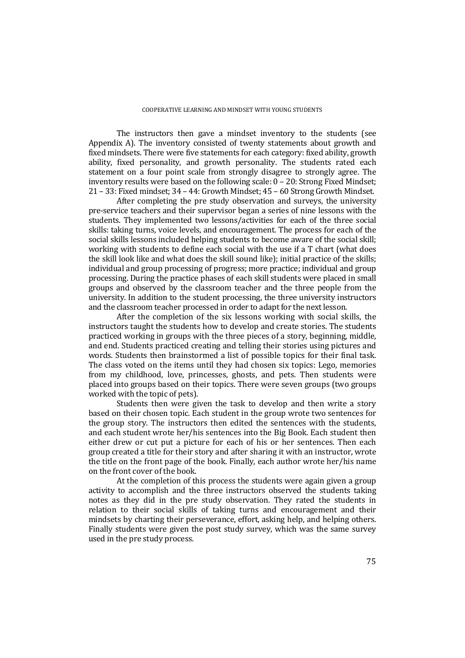The instructors then gave a mindset inventory to the students (see Appendix A). The inventory consisted of twenty statements about growth and fixed mindsets. There were five statements for each category: fixed ability, growth ability, fixed personality, and growth personality. The students rated each statement on a four point scale from strongly disagree to strongly agree. The inventory results were based on the following scale: 0 – 20: Strong Fixed Mindset; 21 – 33: Fixed mindset; 34 – 44: Growth Mindset; 45 – 60 Strong Growth Mindset.

 After completing the pre study observation and surveys, the university pre-service teachers and their supervisor began a series of nine lessons with the students. They implemented two lessons/activities for each of the three social skills: taking turns, voice levels, and encouragement. The process for each of the social skills lessons included helping students to become aware of the social skill; working with students to define each social with the use if a T chart (what does the skill look like and what does the skill sound like); initial practice of the skills; individual and group processing of progress; more practice; individual and group processing. During the practice phases of each skill students were placed in small groups and observed by the classroom teacher and the three people from the university. In addition to the student processing, the three university instructors and the classroom teacher processed in order to adapt for the next lesson.

 After the completion of the six lessons working with social skills, the instructors taught the students how to develop and create stories. The students practiced working in groups with the three pieces of a story, beginning, middle, and end. Students practiced creating and telling their stories using pictures and words. Students then brainstormed a list of possible topics for their final task. The class voted on the items until they had chosen six topics: Lego, memories from my childhood, love, princesses, ghosts, and pets. Then students were placed into groups based on their topics. There were seven groups (two groups worked with the topic of pets).

 Students then were given the task to develop and then write a story based on their chosen topic. Each student in the group wrote two sentences for the group story. The instructors then edited the sentences with the students, and each student wrote her/his sentences into the Big Book. Each student then either drew or cut put a picture for each of his or her sentences. Then each group created a title for their story and after sharing it with an instructor, wrote the title on the front page of the book. Finally, each author wrote her/his name on the front cover of the book.

 At the completion of this process the students were again given a group activity to accomplish and the three instructors observed the students taking notes as they did in the pre study observation. They rated the students in relation to their social skills of taking turns and encouragement and their mindsets by charting their perseverance, effort, asking help, and helping others. Finally students were given the post study survey, which was the same survey used in the pre study process.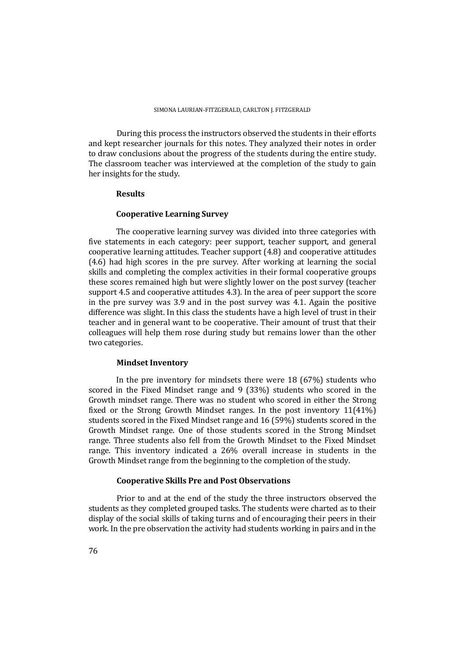During this process the instructors observed the students in their efforts and kept researcher journals for this notes. They analyzed their notes in order to draw conclusions about the progress of the students during the entire study. The classroom teacher was interviewed at the completion of the study to gain her insights for the study.

# **Results**

### **Cooperative Learning Survey**

The cooperative learning survey was divided into three categories with five statements in each category: peer support, teacher support, and general cooperative learning attitudes. Teacher support (4.8) and cooperative attitudes (4.6) had high scores in the pre survey. After working at learning the social skills and completing the complex activities in their formal cooperative groups these scores remained high but were slightly lower on the post survey (teacher support 4.5 and cooperative attitudes 4.3). In the area of peer support the score in the pre survey was 3.9 and in the post survey was 4.1. Again the positive difference was slight. In this class the students have a high level of trust in their teacher and in general want to be cooperative. Their amount of trust that their colleagues will help them rose during study but remains lower than the other two categories.

# **Mindset Inventory**

In the pre inventory for mindsets there were 18 (67%) students who scored in the Fixed Mindset range and 9 (33%) students who scored in the Growth mindset range. There was no student who scored in either the Strong fixed or the Strong Growth Mindset ranges. In the post inventory 11(41%) students scored in the Fixed Mindset range and 16 (59%) students scored in the Growth Mindset range. One of those students scored in the Strong Mindset range. Three students also fell from the Growth Mindset to the Fixed Mindset range. This inventory indicated a 26% overall increase in students in the Growth Mindset range from the beginning to the completion of the study.

### **Cooperative Skills Pre and Post Observations**

 Prior to and at the end of the study the three instructors observed the students as they completed grouped tasks. The students were charted as to their display of the social skills of taking turns and of encouraging their peers in their work. In the pre observation the activity had students working in pairs and in the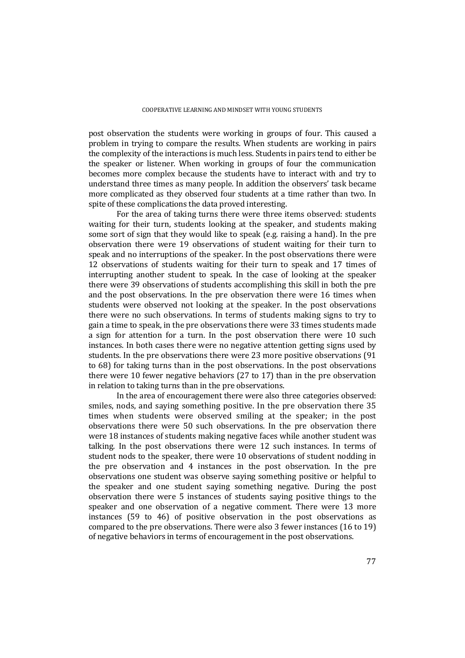post observation the students were working in groups of four. This caused a problem in trying to compare the results. When students are working in pairs the complexity of the interactions is much less. Students in pairs tend to either be the speaker or listener. When working in groups of four the communication becomes more complex because the students have to interact with and try to understand three times as many people. In addition the observers' task became more complicated as they observed four students at a time rather than two. In spite of these complications the data proved interesting.

 For the area of taking turns there were three items observed: students waiting for their turn, students looking at the speaker, and students making some sort of sign that they would like to speak (e.g. raising a hand). In the pre observation there were 19 observations of student waiting for their turn to speak and no interruptions of the speaker. In the post observations there were 12 observations of students waiting for their turn to speak and 17 times of interrupting another student to speak. In the case of looking at the speaker there were 39 observations of students accomplishing this skill in both the pre and the post observations. In the pre observation there were 16 times when students were observed not looking at the speaker. In the post observations there were no such observations. In terms of students making signs to try to gain a time to speak, in the pre observations there were 33 times students made a sign for attention for a turn. In the post observation there were 10 such instances. In both cases there were no negative attention getting signs used by students. In the pre observations there were 23 more positive observations (91 to 68) for taking turns than in the post observations. In the post observations there were 10 fewer negative behaviors (27 to 17) than in the pre observation in relation to taking turns than in the pre observations.

 In the area of encouragement there were also three categories observed: smiles, nods, and saying something positive. In the pre observation there 35 times when students were observed smiling at the speaker; in the post observations there were 50 such observations. In the pre observation there were 18 instances of students making negative faces while another student was talking. In the post observations there were 12 such instances. In terms of student nods to the speaker, there were 10 observations of student nodding in the pre observation and 4 instances in the post observation. In the pre observations one student was observe saying something positive or helpful to the speaker and one student saying something negative. During the post observation there were 5 instances of students saying positive things to the speaker and one observation of a negative comment. There were 13 more instances (59 to 46) of positive observation in the post observations as compared to the pre observations. There were also 3 fewer instances (16 to 19) of negative behaviors in terms of encouragement in the post observations.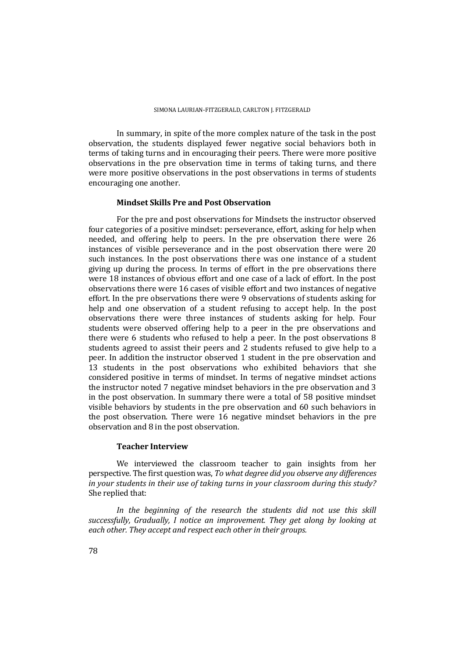In summary, in spite of the more complex nature of the task in the post observation, the students displayed fewer negative social behaviors both in terms of taking turns and in encouraging their peers. There were more positive observations in the pre observation time in terms of taking turns, and there were more positive observations in the post observations in terms of students encouraging one another.

## **Mindset Skills Pre and Post Observation**

 For the pre and post observations for Mindsets the instructor observed four categories of a positive mindset: perseverance, effort, asking for help when needed, and offering help to peers. In the pre observation there were 26 instances of visible perseverance and in the post observation there were 20 such instances. In the post observations there was one instance of a student giving up during the process. In terms of effort in the pre observations there were 18 instances of obvious effort and one case of a lack of effort. In the post observations there were 16 cases of visible effort and two instances of negative effort. In the pre observations there were 9 observations of students asking for help and one observation of a student refusing to accept help. In the post observations there were three instances of students asking for help. Four students were observed offering help to a peer in the pre observations and there were 6 students who refused to help a peer. In the post observations 8 students agreed to assist their peers and 2 students refused to give help to a peer. In addition the instructor observed 1 student in the pre observation and 13 students in the post observations who exhibited behaviors that she considered positive in terms of mindset. In terms of negative mindset actions the instructor noted 7 negative mindset behaviors in the pre observation and 3 in the post observation. In summary there were a total of 58 positive mindset visible behaviors by students in the pre observation and 60 such behaviors in the post observation. There were 16 negative mindset behaviors in the pre observation and 8 in the post observation.

### **Teacher Interview**

 We interviewed the classroom teacher to gain insights from her perspective. The first question was, *To what degree did you observe any differences in your students in their use of taking turns in your classroom during this study?* She replied that:

*In the beginning of the research the students did not use this skill successfully, Gradually, I notice an improvement. They get along by looking at each other. They accept and respect each other in their groups.*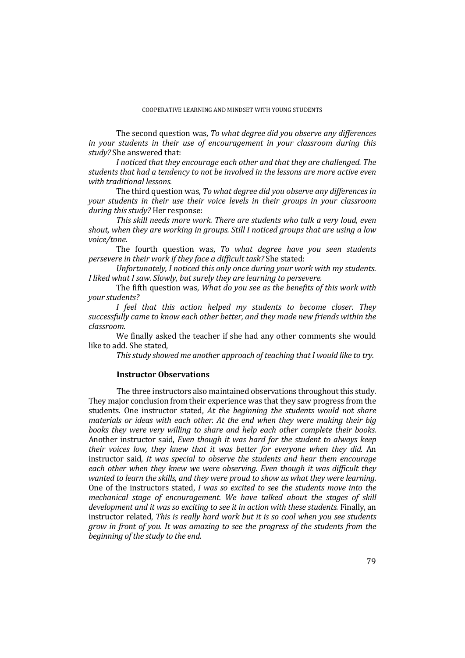The second question was, *To what degree did you observe any differences in your students in their use of encouragement in your classroom during this study?* She answered that:

*I noticed that they encourage each other and that they are challenged. The students that had a tendency to not be involved in the lessons are more active even with traditional lessons.* 

The third question was, *To what degree did you observe any differences in your students in their use their voice levels in their groups in your classroom during this study?* Her response:

*This skill needs more work. There are students who talk a very loud, even shout, when they are working in groups. Still I noticed groups that are using a low voice/tone.* 

The fourth question was, *To what degree have you seen students persevere in their work if they face a difficult task?* She stated:

*Unfortunately, I noticed this only once during your work with my students. I liked what I saw. Slowly, but surely they are learning to persevere.* 

The fifth question was, *What do you see as the benefits of this work with your students?*

*I feel that this action helped my students to become closer. They successfully came to know each other better, and they made new friends within the classroom.* 

We finally asked the teacher if she had any other comments she would like to add. She stated,

*This study showed me another approach of teaching that I would like to try.* 

### **Instructor Observations**

 The three instructors also maintained observations throughout this study. They major conclusion from their experience was that they saw progress from the students. One instructor stated, *At the beginning the students would not share materials or ideas with each other. At the end when they were making their big books they were very willing to share and help each other complete their books.* Another instructor said, *Even though it was hard for the student to always keep their voices low, they knew that it was better for everyone when they did.* An instructor said, *It was special to observe the students and hear them encourage each other when they knew we were observing. Even though it was difficult they wanted to learn the skills, and they were proud to show us what they were learning.* One of the instructors stated, *I was so excited to see the students move into the mechanical stage of encouragement. We have talked about the stages of skill*  development and it was so exciting to see it in action with these students. Finally, an instructor related, *This is really hard work but it is so cool when you see students grow in front of you. It was amazing to see the progress of the students from the beginning of the study to the end.*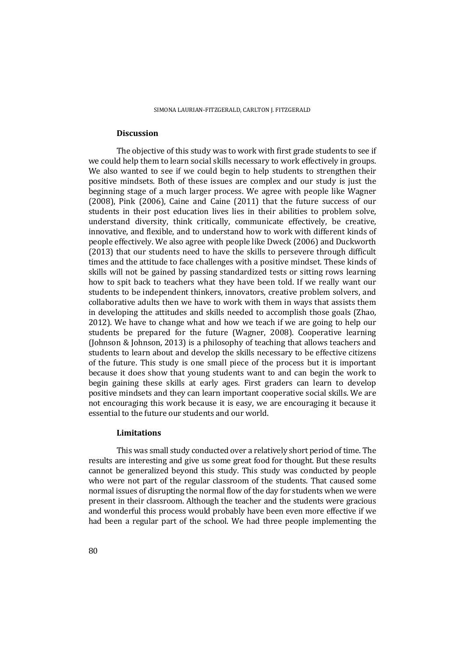### **Discussion**

 The objective of this study was to work with first grade students to see if we could help them to learn social skills necessary to work effectively in groups. We also wanted to see if we could begin to help students to strengthen their positive mindsets. Both of these issues are complex and our study is just the beginning stage of a much larger process. We agree with people like Wagner (2008), Pink (2006), Caine and Caine (2011) that the future success of our students in their post education lives lies in their abilities to problem solve, understand diversity, think critically, communicate effectively, be creative, innovative, and flexible, and to understand how to work with different kinds of people effectively. We also agree with people like Dweck (2006) and Duckworth (2013) that our students need to have the skills to persevere through difficult times and the attitude to face challenges with a positive mindset. These kinds of skills will not be gained by passing standardized tests or sitting rows learning how to spit back to teachers what they have been told. If we really want our students to be independent thinkers, innovators, creative problem solvers, and collaborative adults then we have to work with them in ways that assists them in developing the attitudes and skills needed to accomplish those goals (Zhao, 2012). We have to change what and how we teach if we are going to help our students be prepared for the future (Wagner, 2008). Cooperative learning (Johnson & Johnson, 2013) is a philosophy of teaching that allows teachers and students to learn about and develop the skills necessary to be effective citizens of the future. This study is one small piece of the process but it is important because it does show that young students want to and can begin the work to begin gaining these skills at early ages. First graders can learn to develop positive mindsets and they can learn important cooperative social skills. We are not encouraging this work because it is easy, we are encouraging it because it essential to the future our students and our world.

# **Limitations**

 This was small study conducted over a relatively short period of time. The results are interesting and give us some great food for thought. But these results cannot be generalized beyond this study. This study was conducted by people who were not part of the regular classroom of the students. That caused some normal issues of disrupting the normal flow of the day for students when we were present in their classroom. Although the teacher and the students were gracious and wonderful this process would probably have been even more effective if we had been a regular part of the school. We had three people implementing the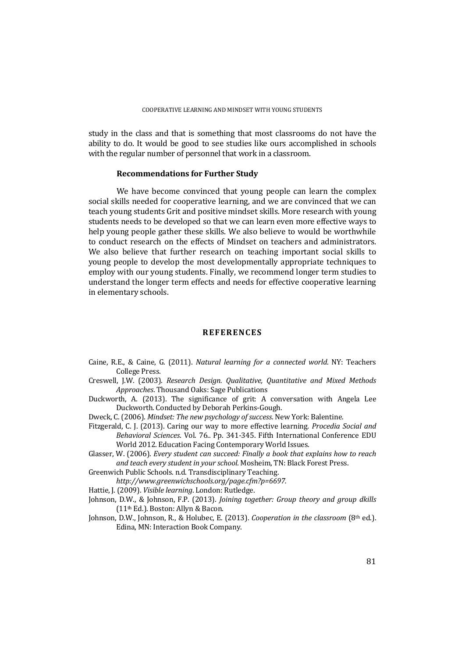study in the class and that is something that most classrooms do not have the ability to do. It would be good to see studies like ours accomplished in schools with the regular number of personnel that work in a classroom.

### **Recommendations for Further Study**

 We have become convinced that young people can learn the complex social skills needed for cooperative learning, and we are convinced that we can teach young students Grit and positive mindset skills. More research with young students needs to be developed so that we can learn even more effective ways to help young people gather these skills. We also believe to would be worthwhile to conduct research on the effects of Mindset on teachers and administrators. We also believe that further research on teaching important social skills to young people to develop the most developmentally appropriate techniques to employ with our young students. Finally, we recommend longer term studies to understand the longer term effects and needs for effective cooperative learning in elementary schools.

# **REFERENCES**

- Caine, R.E., & Caine, G. (2011). *Natural learning for a connected world*. NY: Teachers College Press.
- Creswell, J.W. (2003). *Research Design. Qualitative, Quantitative and Mixed Methods Approaches*. Thousand Oaks: Sage Publications
- Duckworth, A. (2013). The significance of grit: A conversation with Angela Lee Duckworth. Conducted by Deborah Perkins-Gough.
- Dweck, C. (2006). *Mindset: The new psychology of success*. New York: Balentine.
- Fitzgerald, C. J. (2013). Caring our way to more effective learning*. Procedia Social and Behavioral Sciences*. Vol. 76.. Pp. 341-345. Fifth International Conference EDU World 2012. Education Facing Contemporary World Issues.
- Glasser, W. (2006). *Every student can succeed: Finally a book that explains how to reach and teach every student in your school*. Mosheim, TN: Black Forest Press.
- Greenwich Public Schools. n.d. Transdisciplinary Teaching.
	- *http://www.greenwichschools.org/page.cfm?p=6697.*
- Hattie, J. (2009). *Visible learning*. London: Rutledge.
- Johnson, D.W., & Johnson, F.P. (2013). *Joining together: Group theory and group dkills* (11th Ed.). Boston: Allyn & Bacon.
- Johnson, D.W., Johnson, R., & Holubec, E. (2013). *Cooperation in the classroom* (8th ed.). Edina, MN: Interaction Book Company.